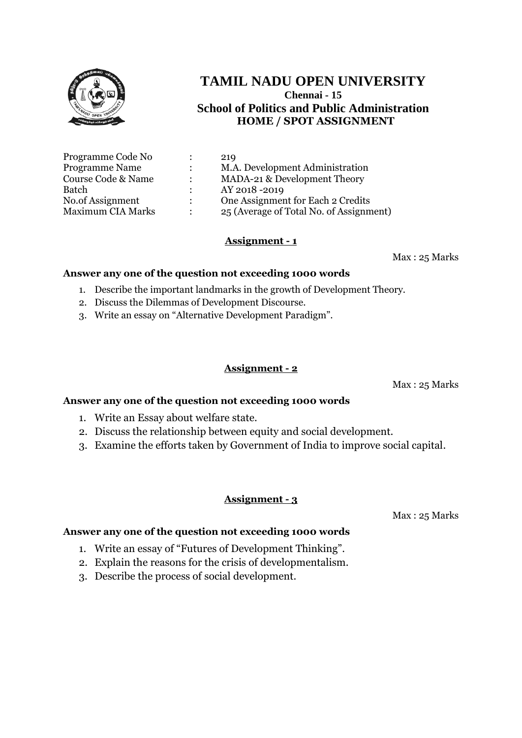

| Programme Code No        |                      | 219                                     |
|--------------------------|----------------------|-----------------------------------------|
| <b>Programme Name</b>    |                      | M.A. Development Administration         |
| Course Code & Name       | ٠                    | MADA-21 & Development Theory            |
| Batch                    |                      | AY 2018-2019                            |
| No.of Assignment         | $\ddot{\phantom{0}}$ | One Assignment for Each 2 Credits       |
| <b>Maximum CIA Marks</b> |                      | 25 (Average of Total No. of Assignment) |

# **Assignment - 1**

Max : 25 Marks

### **Answer any one of the question not exceeding 1000 words**

- 1. Describe the important landmarks in the growth of Development Theory.
- 2. Discuss the Dilemmas of Development Discourse.
- 3. Write an essay on "Alternative Development Paradigm".

### **Assignment - 2**

Max : 25 Marks

# **Answer any one of the question not exceeding 1000 words**

- 1. Write an Essay about welfare state.
- 2. Discuss the relationship between equity and social development.
- 3. Examine the efforts taken by Government of India to improve social capital.

### **Assignment - 3**

Max : 25 Marks

- 1. Write an essay of "Futures of Development Thinking".
- 2. Explain the reasons for the crisis of developmentalism.
- 3. Describe the process of social development.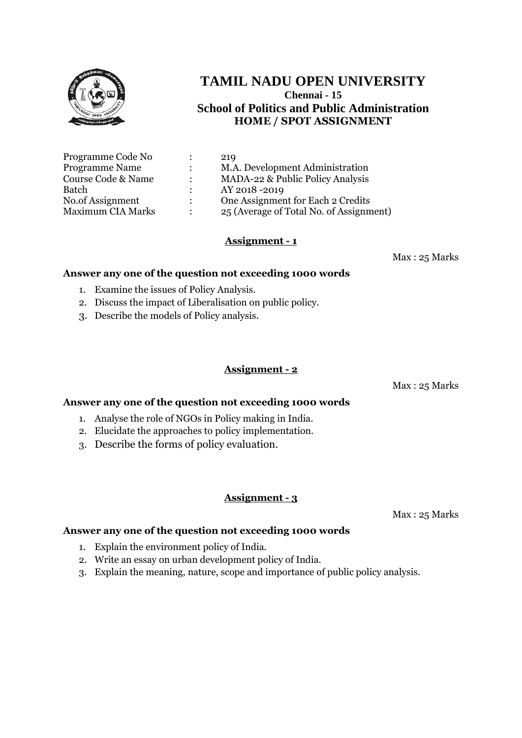

| Programme Code No        |               | 219                                     |
|--------------------------|---------------|-----------------------------------------|
| <b>Programme Name</b>    |               | M.A. Development Administration         |
| Course Code & Name       | $\bullet$     | MADA-22 & Public Policy Analysis        |
| <b>Batch</b>             |               | AY 2018 -2019                           |
| No.of Assignment         | $\mathcal{L}$ | One Assignment for Each 2 Credits       |
| <b>Maximum CIA Marks</b> |               | 25 (Average of Total No. of Assignment) |

# **Assignment - 1**

Max : 25 Marks

#### **Answer any one of the question not exceeding 1000 words**

- 1. Examine the issues of Policy Analysis.
- 2. Discuss the impact of Liberalisation on public policy.
- 3. Describe the models of Policy analysis.

#### **Assignment - 2**

Max : 25 Marks

### **Answer any one of the question not exceeding 1000 words**

- 1. Analyse the role of NGOs in Policy making in India.
- 2. Elucidate the approaches to policy implementation.
- 3. Describe the forms of policy evaluation.

### **Assignment - 3**

Max : 25 Marks

- 1. Explain the environment policy of India.
- 2. Write an essay on urban development policy of India.
- 3. Explain the meaning, nature, scope and importance of public policy analysis.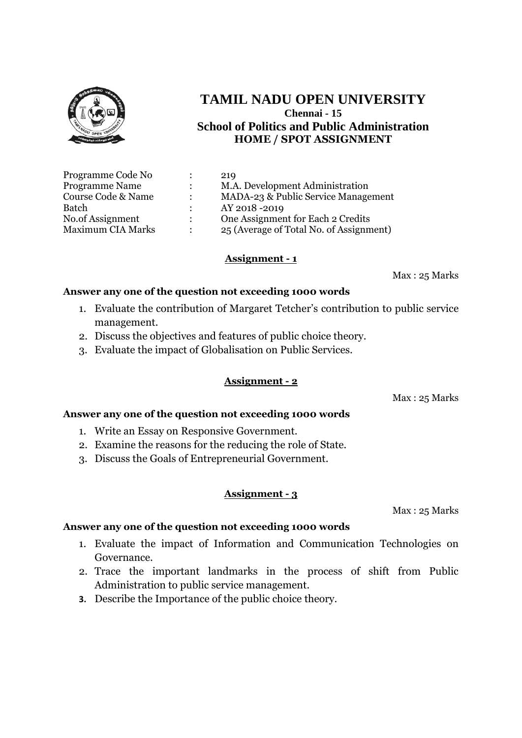

| Programme Code No        | 219                                     |
|--------------------------|-----------------------------------------|
| <b>Programme Name</b>    | M.A. Development Administration         |
| Course Code & Name       | MADA-23 & Public Service Management     |
| Batch                    | AY 2018 -2019                           |
| No.of Assignment         | One Assignment for Each 2 Credits       |
| <b>Maximum CIA Marks</b> | 25 (Average of Total No. of Assignment) |

### **Assignment - 1**

Max : 25 Marks

### **Answer any one of the question not exceeding 1000 words**

- 1. Evaluate the contribution of Margaret Tetcher's contribution to public service management.
- 2. Discuss the objectives and features of public choice theory.
- 3. Evaluate the impact of Globalisation on Public Services.

### **Assignment - 2**

Max : 25 Marks

### **Answer any one of the question not exceeding 1000 words**

- 1. Write an Essay on Responsive Government.
- 2. Examine the reasons for the reducing the role of State.
- 3. Discuss the Goals of Entrepreneurial Government.

### **Assignment - 3**

Max : 25 Marks

- 1. Evaluate the impact of Information and Communication Technologies on Governance.
- 2. Trace the important landmarks in the process of shift from Public Administration to public service management.
- **3.** Describe the Importance of the public choice theory.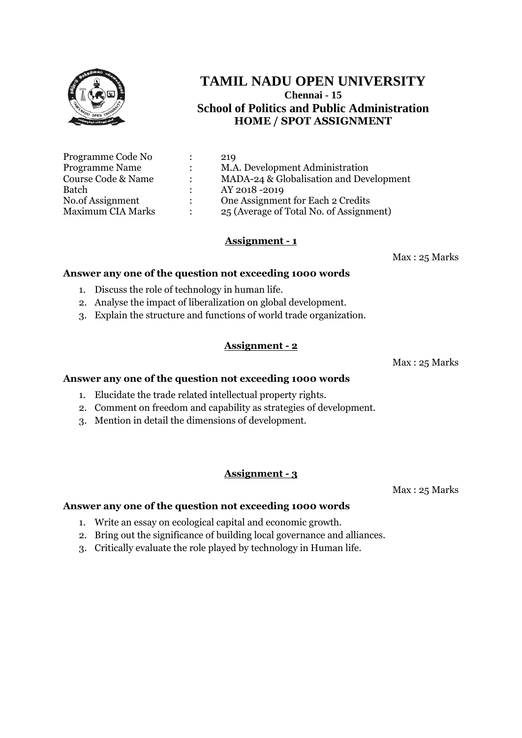

| Programme Code No        |               | 219                                     |
|--------------------------|---------------|-----------------------------------------|
| <b>Programme Name</b>    |               | M.A. Development Administration         |
| Course Code & Name       |               | MADA-24 & Globalisation and Development |
| Batch                    |               | AY 2018 -2019                           |
| No.of Assignment         | $\mathcal{L}$ | One Assignment for Each 2 Credits       |
| <b>Maximum CIA Marks</b> |               | 25 (Average of Total No. of Assignment) |

# **Assignment - 1**

Max : 25 Marks

#### **Answer any one of the question not exceeding 1000 words**

- 1. Discuss the role of technology in human life.
- 2. Analyse the impact of liberalization on global development.
- 3. Explain the structure and functions of world trade organization.

### **Assignment - 2**

Max : 25 Marks

#### **Answer any one of the question not exceeding 1000 words**

- 1. Elucidate the trade related intellectual property rights.
- 2. Comment on freedom and capability as strategies of development.
- 3. Mention in detail the dimensions of development.

### **Assignment - 3**

Max : 25 Marks

- 1. Write an essay on ecological capital and economic growth.
- 2. Bring out the significance of building local governance and alliances.
- 3. Critically evaluate the role played by technology in Human life.